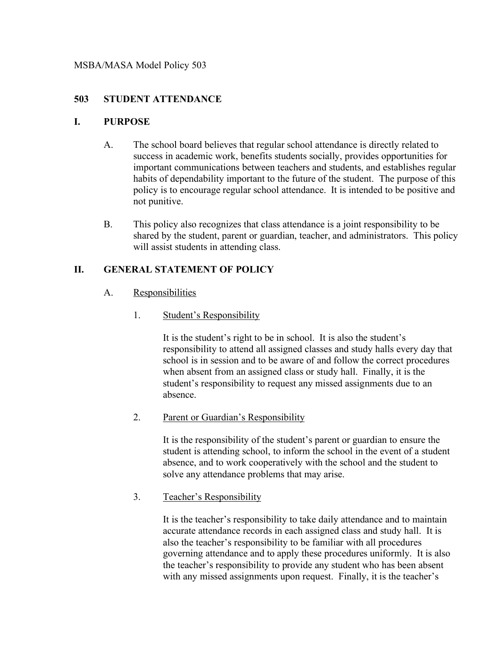## **503 STUDENT ATTENDANCE**

## **I. PURPOSE**

- A. The school board believes that regular school attendance is directly related to success in academic work, benefits students socially, provides opportunities for important communications between teachers and students, and establishes regular habits of dependability important to the future of the student. The purpose of this policy is to encourage regular school attendance. It is intended to be positive and not punitive.
- B. This policy also recognizes that class attendance is a joint responsibility to be shared by the student, parent or guardian, teacher, and administrators. This policy will assist students in attending class.

## **II. GENERAL STATEMENT OF POLICY**

- A. Responsibilities
	- 1. Student's Responsibility

It is the student's right to be in school. It is also the student's responsibility to attend all assigned classes and study halls every day that school is in session and to be aware of and follow the correct procedures when absent from an assigned class or study hall. Finally, it is the student's responsibility to request any missed assignments due to an absence.

2. Parent or Guardian's Responsibility

It is the responsibility of the student's parent or guardian to ensure the student is attending school, to inform the school in the event of a student absence, and to work cooperatively with the school and the student to solve any attendance problems that may arise.

3. Teacher's Responsibility

It is the teacher's responsibility to take daily attendance and to maintain accurate attendance records in each assigned class and study hall. It is also the teacher's responsibility to be familiar with all procedures governing attendance and to apply these procedures uniformly. It is also the teacher's responsibility to provide any student who has been absent with any missed assignments upon request. Finally, it is the teacher's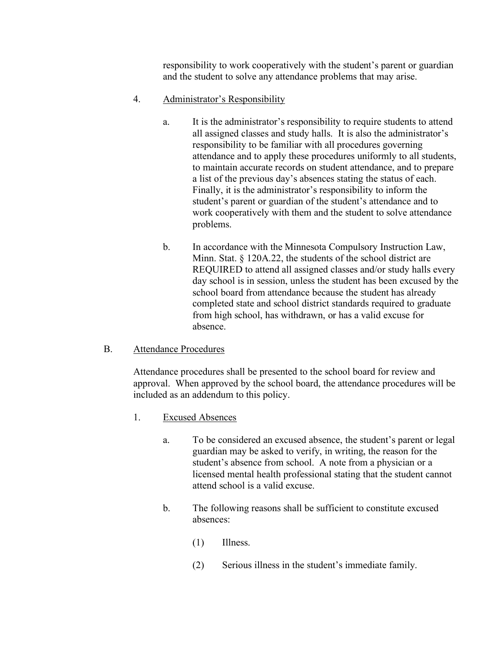responsibility to work cooperatively with the student's parent or guardian and the student to solve any attendance problems that may arise.

## 4. Administrator's Responsibility

- a. It is the administrator's responsibility to require students to attend all assigned classes and study halls. It is also the administrator's responsibility to be familiar with all procedures governing attendance and to apply these procedures uniformly to all students, to maintain accurate records on student attendance, and to prepare a list of the previous day's absences stating the status of each. Finally, it is the administrator's responsibility to inform the student's parent or guardian of the student's attendance and to work cooperatively with them and the student to solve attendance problems.
- b. In accordance with the Minnesota Compulsory Instruction Law, Minn. Stat. § 120A.22, the students of the school district are REQUIRED to attend all assigned classes and/or study halls every day school is in session, unless the student has been excused by the school board from attendance because the student has already completed state and school district standards required to graduate from high school, has withdrawn, or has a valid excuse for absence.

## B. Attendance Procedures

Attendance procedures shall be presented to the school board for review and approval. When approved by the school board, the attendance procedures will be included as an addendum to this policy.

- 1. Excused Absences
	- a. To be considered an excused absence, the student's parent or legal guardian may be asked to verify, in writing, the reason for the student's absence from school. A note from a physician or a licensed mental health professional stating that the student cannot attend school is a valid excuse.
	- b. The following reasons shall be sufficient to constitute excused absences:
		- (1) Illness.
		- (2) Serious illness in the student's immediate family.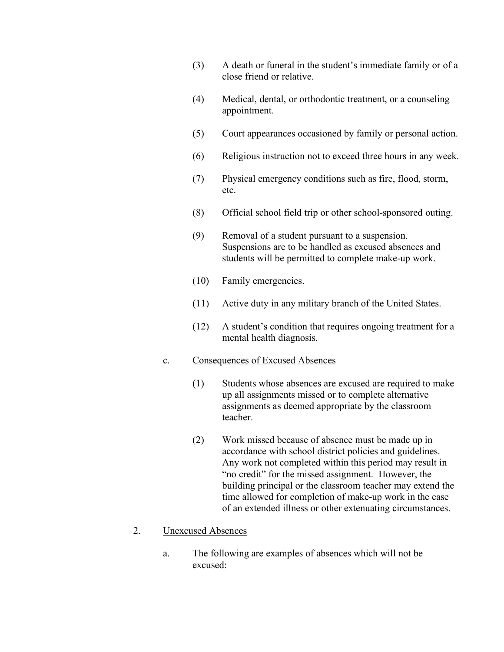- (3) A death or funeral in the student's immediate family or of a close friend or relative.
- (4) Medical, dental, or orthodontic treatment, or a counseling appointment.
- (5) Court appearances occasioned by family or personal action.
- (6) Religious instruction not to exceed three hours in any week.
- (7) Physical emergency conditions such as fire, flood, storm, etc.
- (8) Official school field trip or other school-sponsored outing.
- (9) Removal of a student pursuant to a suspension. Suspensions are to be handled as excused absences and students will be permitted to complete make-up work.
- (10) Family emergencies.
- (11) Active duty in any military branch of the United States.
- (12) A student's condition that requires ongoing treatment for a mental health diagnosis.

#### c. Consequences of Excused Absences

- (1) Students whose absences are excused are required to make up all assignments missed or to complete alternative assignments as deemed appropriate by the classroom teacher.
- (2) Work missed because of absence must be made up in accordance with school district policies and guidelines. Any work not completed within this period may result in "no credit" for the missed assignment. However, the building principal or the classroom teacher may extend the time allowed for completion of make-up work in the case of an extended illness or other extenuating circumstances.

#### 2. Unexcused Absences

a. The following are examples of absences which will not be excused: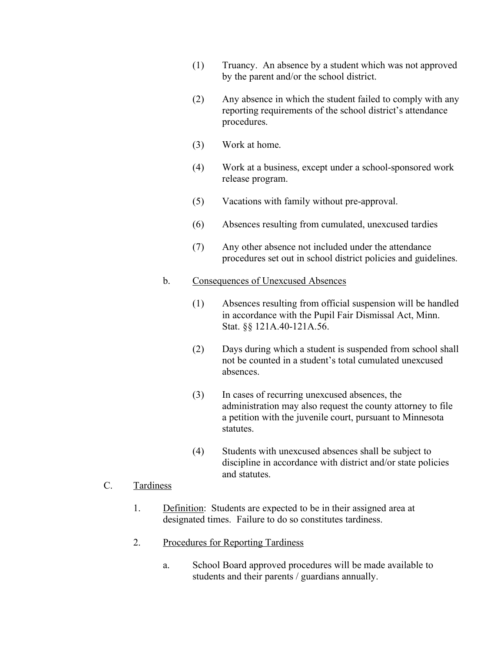- (1) Truancy. An absence by a student which was not approved by the parent and/or the school district.
- (2) Any absence in which the student failed to comply with any reporting requirements of the school district's attendance procedures.
- (3) Work at home.
- (4) Work at a business, except under a school-sponsored work release program.
- (5) Vacations with family without pre-approval.
- (6) Absences resulting from cumulated, unexcused tardies
- (7) Any other absence not included under the attendance procedures set out in school district policies and guidelines.

#### b. Consequences of Unexcused Absences

- (1) Absences resulting from official suspension will be handled in accordance with the Pupil Fair Dismissal Act, Minn. Stat. §§ 121A.40-121A.56.
- (2) Days during which a student is suspended from school shall not be counted in a student's total cumulated unexcused absences.
- (3) In cases of recurring unexcused absences, the administration may also request the county attorney to file a petition with the juvenile court, pursuant to Minnesota statutes.
- (4) Students with unexcused absences shall be subject to discipline in accordance with district and/or state policies and statutes.

#### C. Tardiness

- 1. Definition: Students are expected to be in their assigned area at designated times. Failure to do so constitutes tardiness.
- 2. Procedures for Reporting Tardiness
	- a. School Board approved procedures will be made available to students and their parents / guardians annually.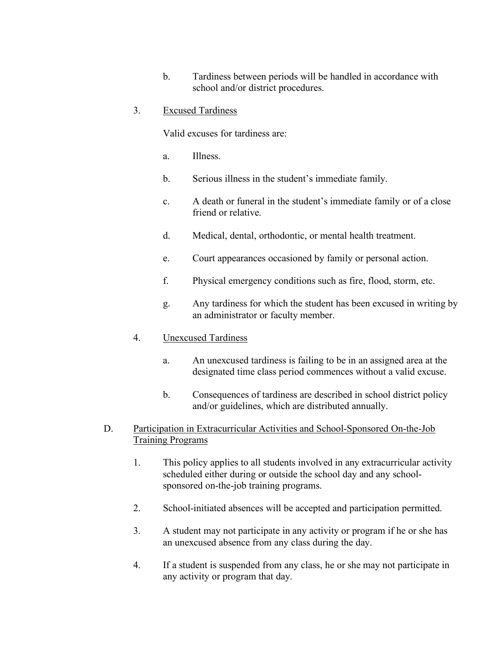b. Tardiness between periods will be handled in accordance with school and/or district procedures.

### 3. Excused Tardiness

Valid excuses for tardiness are:

- a. Illness.
- b. Serious illness in the student's immediate family.
- c. A death or funeral in the student's immediate family or of a close friend or relative.
- d. Medical, dental, orthodontic, or mental health treatment.
- e. Court appearances occasioned by family or personal action.
- f. Physical emergency conditions such as fire, flood, storm, etc.
- g. Any tardiness for which the student has been excused in writing by an administrator or faculty member.

# 4. Unexcused Tardiness

- a. An unexcused tardiness is failing to be in an assigned area at the designated time class period commences without a valid excuse.
- b. Consequences of tardiness are described in school district policy and/or guidelines, which are distributed annually.

## D. Participation in Extracurricular Activities and School-Sponsored On-the-Job Training Programs

- 1. This policy applies to all students involved in any extracurricular activity scheduled either during or outside the school day and any schoolsponsored on-the-job training programs.
- 2. School-initiated absences will be accepted and participation permitted.
- 3. A student may not participate in any activity or program if he or she has an unexcused absence from any class during the day.
- 4. If a student is suspended from any class, he or she may not participate in any activity or program that day.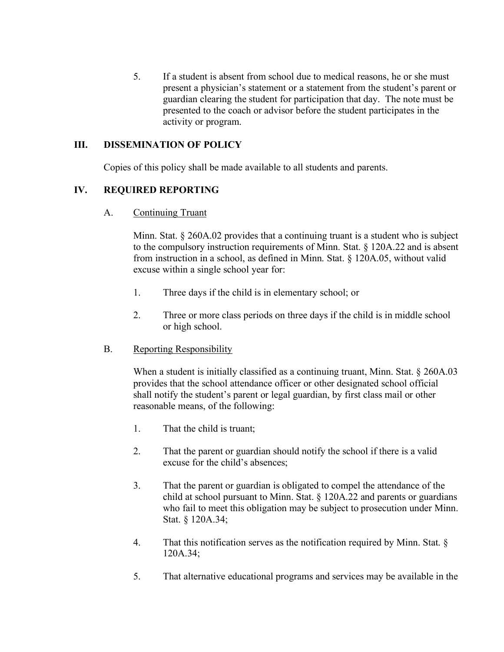5. If a student is absent from school due to medical reasons, he or she must present a physician's statement or a statement from the student's parent or guardian clearing the student for participation that day. The note must be presented to the coach or advisor before the student participates in the activity or program.

### **III. DISSEMINATION OF POLICY**

Copies of this policy shall be made available to all students and parents.

## **IV. REQUIRED REPORTING**

A. Continuing Truant

Minn. Stat. § 260A.02 provides that a continuing truant is a student who is subject to the compulsory instruction requirements of Minn. Stat. § 120A.22 and is absent from instruction in a school, as defined in Minn. Stat. § 120A.05, without valid excuse within a single school year for:

- 1. Three days if the child is in elementary school; or
- 2. Three or more class periods on three days if the child is in middle school or high school.
- B. Reporting Responsibility

When a student is initially classified as a continuing truant, Minn. Stat. § 260A.03 provides that the school attendance officer or other designated school official shall notify the student's parent or legal guardian, by first class mail or other reasonable means, of the following:

- 1. That the child is truant;
- 2. That the parent or guardian should notify the school if there is a valid excuse for the child's absences;
- 3. That the parent or guardian is obligated to compel the attendance of the child at school pursuant to Minn. Stat. § 120A.22 and parents or guardians who fail to meet this obligation may be subject to prosecution under Minn. Stat. § 120A.34;
- 4. That this notification serves as the notification required by Minn. Stat. § 120A.34;
- 5. That alternative educational programs and services may be available in the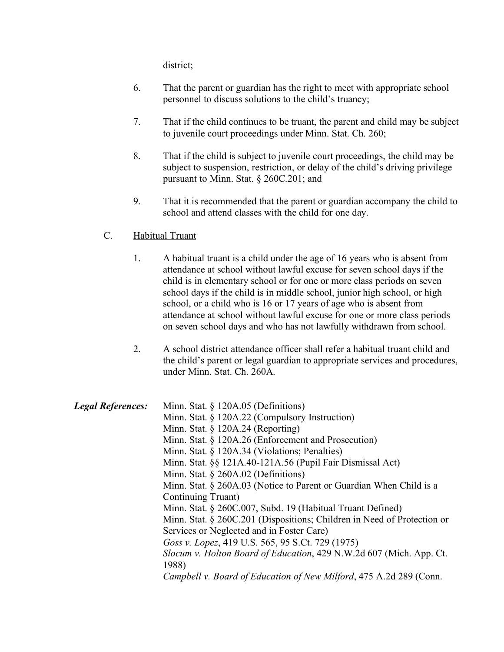district;

- 6. That the parent or guardian has the right to meet with appropriate school personnel to discuss solutions to the child's truancy;
- 7. That if the child continues to be truant, the parent and child may be subject to juvenile court proceedings under Minn. Stat. Ch. 260;
- 8. That if the child is subject to juvenile court proceedings, the child may be subject to suspension, restriction, or delay of the child's driving privilege pursuant to Minn. Stat. § 260C.201; and
- 9. That it is recommended that the parent or guardian accompany the child to school and attend classes with the child for one day.

## C. Habitual Truant

- 1. A habitual truant is a child under the age of 16 years who is absent from attendance at school without lawful excuse for seven school days if the child is in elementary school or for one or more class periods on seven school days if the child is in middle school, junior high school, or high school, or a child who is 16 or 17 years of age who is absent from attendance at school without lawful excuse for one or more class periods on seven school days and who has not lawfully withdrawn from school.
- 2. A school district attendance officer shall refer a habitual truant child and the child's parent or legal guardian to appropriate services and procedures, under Minn. Stat. Ch. 260A.

| <b>Legal References:</b> | Minn. Stat. $\S$ 120A.05 (Definitions)                                  |
|--------------------------|-------------------------------------------------------------------------|
|                          | Minn. Stat. $\S$ 120A.22 (Compulsory Instruction)                       |
|                          | Minn. Stat. $\S$ 120A.24 (Reporting)                                    |
|                          | Minn. Stat. § 120A.26 (Enforcement and Prosecution)                     |
|                          | Minn. Stat. § 120A.34 (Violations; Penalties)                           |
|                          | Minn. Stat. §§ 121A.40-121A.56 (Pupil Fair Dismissal Act)               |
|                          | Minn. Stat. $\S$ 260A.02 (Definitions)                                  |
|                          | Minn. Stat. $\S$ 260A.03 (Notice to Parent or Guardian When Child is a  |
|                          | Continuing Truant)                                                      |
|                          | Minn. Stat. § 260C.007, Subd. 19 (Habitual Truant Defined)              |
|                          | Minn. Stat. § 260C.201 (Dispositions; Children in Need of Protection or |
|                          | Services or Neglected and in Foster Care)                               |
|                          | Goss v. Lopez, 419 U.S. 565, 95 S.Ct. 729 (1975)                        |
|                          | Slocum v. Holton Board of Education, 429 N.W.2d 607 (Mich. App. Ct.     |
|                          | 1988)                                                                   |
|                          | Campbell v. Board of Education of New Milford, 475 A.2d 289 (Conn.      |